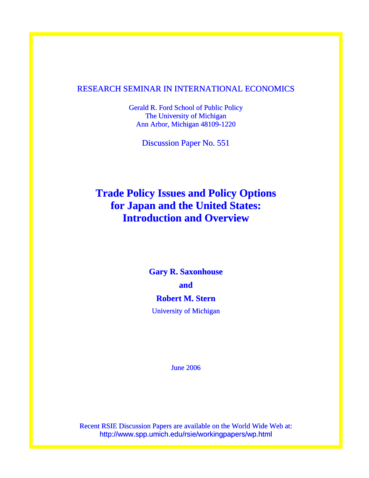# RESEARCH SEMINAR IN INTERNATIONAL ECONOMICS

Gerald R. Ford School of Public Policy The University of Michigan Ann Arbor, Michigan 48109-1220

Discussion Paper No. 551

# **Trade Policy Issues and Policy Options for Japan and the United States: Introduction and Overview**

**Gary R. Saxonhouse and Robert M. Stern**  University of Michigan

June 2006

Recent RSIE Discussion Papers are available on the World Wide Web at: http://www.spp.umich.edu/rsie/workingpapers/wp.html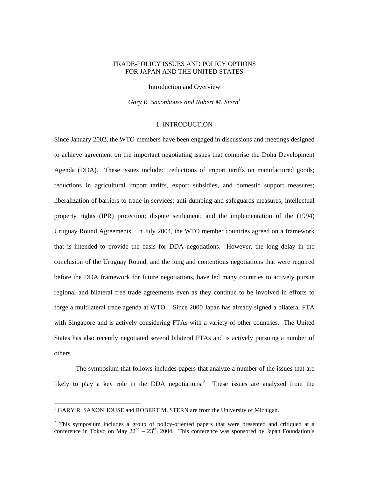## TRADE-POLICY ISSUES AND POLICY OPTIONS FOR JAPAN AND THE UNITED STATES

Introduction and Overview

*Gary R. Saxonhouse and Robert M. Stern[1](#page-1-0)*

#### 1. INTRODUCTION

Since January 2002, the WTO members have been engaged in discussions and meetings designed to achieve agreement on the important negotiating issues that comprise the Doha Development Agenda (DDA). These issues include: reductions of import tariffs on manufactured goods; reductions in agricultural import tariffs, export subsidies, and domestic support measures; liberalization of barriers to trade in services; anti-dumping and safeguards measures; intellectual property rights (IPR) protection; dispute settlement; and the implementation of the (1994) Uruguay Round Agreements. In July 2004, the WTO member countries agreed on a framework that is intended to provide the basis for DDA negotiations. However, the long delay in the conclusion of the Uruguay Round, and the long and contentious negotiations that were required before the DDA framework for future negotiations, have led many countries to actively pursue regional and bilateral free trade agreements even as they continue to be involved in efforts to forge a multilateral trade agenda at WTO. Since 2000 Japan has already signed a bilateral FTA with Singapore and is actively considering FTAs with a variety of other countries. The United States has also recently negotiated several bilateral FTAs and is actively pursuing a number of others.

The symposium that follows includes papers that analyze a number of the issues that are likely to play a key role in the DDA negotiations.<sup>[2](#page-1-1)</sup> These issues are analyzed from the

 $\overline{a}$ 

<span id="page-1-0"></span><sup>&</sup>lt;sup>1</sup> GARY R. SAXONHOUSE and ROBERT M. STERN are from the University of Michigan.

<span id="page-1-1"></span> $2$  This symposium includes a group of policy-oriented papers that were presented and critiqued at a conference in Tokyo on May  $22^{nd}$  –  $23^{rd}$ , 2004. This conference was sponsored by Japan Foundation's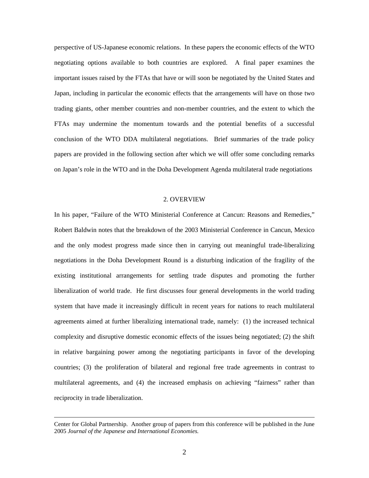perspective of US-Japanese economic relations. In these papers the economic effects of the WTO negotiating options available to both countries are explored. A final paper examines the important issues raised by the FTAs that have or will soon be negotiated by the United States and Japan, including in particular the economic effects that the arrangements will have on those two trading giants, other member countries and non-member countries, and the extent to which the FTAs may undermine the momentum towards and the potential benefits of a successful conclusion of the WTO DDA multilateral negotiations. Brief summaries of the trade policy papers are provided in the following section after which we will offer some concluding remarks on Japan's role in the WTO and in the Doha Development Agenda multilateral trade negotiations

### 2. OVERVIEW

In his paper, "Failure of the WTO Ministerial Conference at Cancun: Reasons and Remedies," Robert Baldwin notes that the breakdown of the 2003 Ministerial Conference in Cancun, Mexico and the only modest progress made since then in carrying out meaningful trade-liberalizing negotiations in the Doha Development Round is a disturbing indication of the fragility of the existing institutional arrangements for settling trade disputes and promoting the further liberalization of world trade. He first discusses four general developments in the world trading system that have made it increasingly difficult in recent years for nations to reach multilateral agreements aimed at further liberalizing international trade, namely: (1) the increased technical complexity and disruptive domestic economic effects of the issues being negotiated; (2) the shift in relative bargaining power among the negotiating participants in favor of the developing countries; (3) the proliferation of bilateral and regional free trade agreements in contrast to multilateral agreements, and (4) the increased emphasis on achieving "fairness" rather than reciprocity in trade liberalization.

Center for Global Partnership. Another group of papers from this conference will be published in the June 2005 *Journal of the Japanese and International Economies.*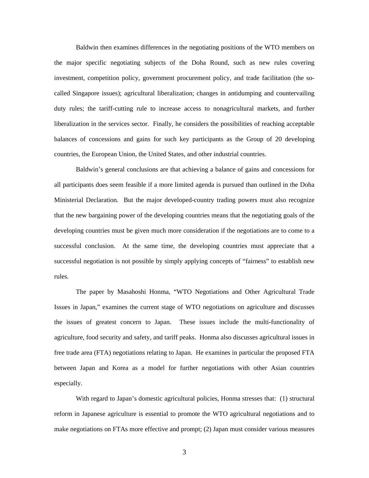Baldwin then examines differences in the negotiating positions of the WTO members on the major specific negotiating subjects of the Doha Round, such as new rules covering investment, competition policy, government procurement policy, and trade facilitation (the socalled Singapore issues); agricultural liberalization; changes in antidumping and countervailing duty rules; the tariff-cutting rule to increase access to nonagricultural markets, and further liberalization in the services sector. Finally, he considers the possibilities of reaching acceptable balances of concessions and gains for such key participants as the Group of 20 developing countries, the European Union, the United States, and other industrial countries.

Baldwin's general conclusions are that achieving a balance of gains and concessions for all participants does seem feasible if a more limited agenda is pursued than outlined in the Doha Ministerial Declaration. But the major developed-country trading powers must also recognize that the new bargaining power of the developing countries means that the negotiating goals of the developing countries must be given much more consideration if the negotiations are to come to a successful conclusion. At the same time, the developing countries must appreciate that a successful negotiation is not possible by simply applying concepts of "fairness" to establish new rules.

The paper by Masahoshi Honma, "WTO Negotiations and Other Agricultural Trade Issues in Japan," examines the current stage of WTO negotiations on agriculture and discusses the issues of greatest concern to Japan. These issues include the multi-functionality of agriculture, food security and safety, and tariff peaks. Honma also discusses agricultural issues in free trade area (FTA) negotiations relating to Japan. He examines in particular the proposed FTA between Japan and Korea as a model for further negotiations with other Asian countries especially.

With regard to Japan's domestic agricultural policies, Honma stresses that: (1) structural reform in Japanese agriculture is essential to promote the WTO agricultural negotiations and to make negotiations on FTAs more effective and prompt; (2) Japan must consider various measures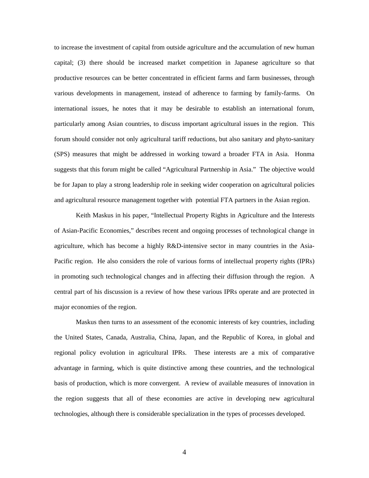to increase the investment of capital from outside agriculture and the accumulation of new human capital; (3) there should be increased market competition in Japanese agriculture so that productive resources can be better concentrated in efficient farms and farm businesses, through various developments in management, instead of adherence to farming by family-farms. On international issues, he notes that it may be desirable to establish an international forum, particularly among Asian countries, to discuss important agricultural issues in the region. This forum should consider not only agricultural tariff reductions, but also sanitary and phyto-sanitary (SPS) measures that might be addressed in working toward a broader FTA in Asia. Honma suggests that this forum might be called "Agricultural Partnership in Asia." The objective would be for Japan to play a strong leadership role in seeking wider cooperation on agricultural policies and agricultural resource management together with potential FTA partners in the Asian region.

Keith Maskus in his paper, "Intellectual Property Rights in Agriculture and the Interests of Asian-Pacific Economies," describes recent and ongoing processes of technological change in agriculture, which has become a highly R&D-intensive sector in many countries in the Asia-Pacific region. He also considers the role of various forms of intellectual property rights (IPRs) in promoting such technological changes and in affecting their diffusion through the region. A central part of his discussion is a review of how these various IPRs operate and are protected in major economies of the region.

Maskus then turns to an assessment of the economic interests of key countries, including the United States, Canada, Australia, China, Japan, and the Republic of Korea, in global and regional policy evolution in agricultural IPRs. These interests are a mix of comparative advantage in farming, which is quite distinctive among these countries, and the technological basis of production, which is more convergent. A review of available measures of innovation in the region suggests that all of these economies are active in developing new agricultural technologies, although there is considerable specialization in the types of processes developed.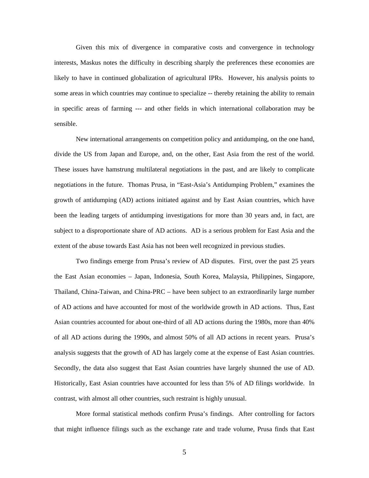Given this mix of divergence in comparative costs and convergence in technology interests, Maskus notes the difficulty in describing sharply the preferences these economies are likely to have in continued globalization of agricultural IPRs. However, his analysis points to some areas in which countries may continue to specialize -- thereby retaining the ability to remain in specific areas of farming --- and other fields in which international collaboration may be sensible.

New international arrangements on competition policy and antidumping, on the one hand, divide the US from Japan and Europe, and, on the other, East Asia from the rest of the world. These issues have hamstrung multilateral negotiations in the past, and are likely to complicate negotiations in the future. Thomas Prusa, in "East-Asia's Antidumping Problem," examines the growth of antidumping (AD) actions initiated against and by East Asian countries, which have been the leading targets of antidumping investigations for more than 30 years and, in fact, are subject to a disproportionate share of AD actions. AD is a serious problem for East Asia and the extent of the abuse towards East Asia has not been well recognized in previous studies.

Two findings emerge from Prusa's review of AD disputes. First, over the past 25 years the East Asian economies – Japan, Indonesia, South Korea, Malaysia, Philippines, Singapore, Thailand, China-Taiwan, and China-PRC – have been subject to an extraordinarily large number of AD actions and have accounted for most of the worldwide growth in AD actions. Thus, East Asian countries accounted for about one-third of all AD actions during the 1980s, more than 40% of all AD actions during the 1990s, and almost 50% of all AD actions in recent years. Prusa's analysis suggests that the growth of AD has largely come at the expense of East Asian countries. Secondly, the data also suggest that East Asian countries have largely shunned the use of AD. Historically, East Asian countries have accounted for less than 5% of AD filings worldwide. In contrast, with almost all other countries, such restraint is highly unusual.

More formal statistical methods confirm Prusa's findings. After controlling for factors that might influence filings such as the exchange rate and trade volume, Prusa finds that East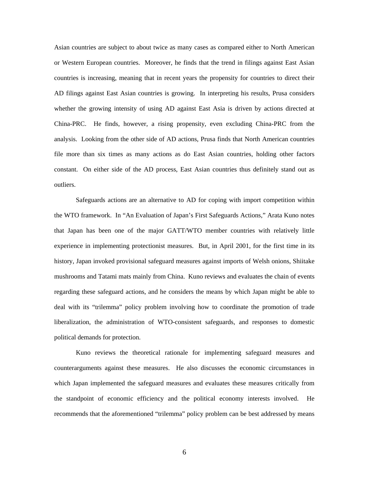Asian countries are subject to about twice as many cases as compared either to North American or Western European countries. Moreover, he finds that the trend in filings against East Asian countries is increasing, meaning that in recent years the propensity for countries to direct their AD filings against East Asian countries is growing. In interpreting his results, Prusa considers whether the growing intensity of using AD against East Asia is driven by actions directed at China-PRC. He finds, however, a rising propensity, even excluding China-PRC from the analysis. Looking from the other side of AD actions, Prusa finds that North American countries file more than six times as many actions as do East Asian countries, holding other factors constant. On either side of the AD process, East Asian countries thus definitely stand out as outliers.

Safeguards actions are an alternative to AD for coping with import competition within the WTO framework. In "An Evaluation of Japan's First Safeguards Actions," Arata Kuno notes that Japan has been one of the major GATT/WTO member countries with relatively little experience in implementing protectionist measures. But, in April 2001, for the first time in its history, Japan invoked provisional safeguard measures against imports of Welsh onions, Shiitake mushrooms and Tatami mats mainly from China. Kuno reviews and evaluates the chain of events regarding these safeguard actions, and he considers the means by which Japan might be able to deal with its "trilemma" policy problem involving how to coordinate the promotion of trade liberalization, the administration of WTO-consistent safeguards, and responses to domestic political demands for protection.

Kuno reviews the theoretical rationale for implementing safeguard measures and counterarguments against these measures. He also discusses the economic circumstances in which Japan implemented the safeguard measures and evaluates these measures critically from the standpoint of economic efficiency and the political economy interests involved. He recommends that the aforementioned "trilemma" policy problem can be best addressed by means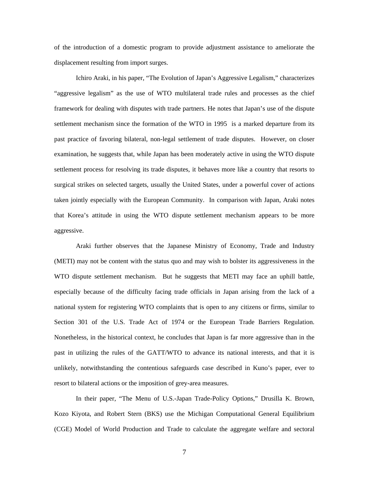of the introduction of a domestic program to provide adjustment assistance to ameliorate the displacement resulting from import surges.

Ichiro Araki, in his paper, "The Evolution of Japan's Aggressive Legalism," characterizes "aggressive legalism" as the use of WTO multilateral trade rules and processes as the chief framework for dealing with disputes with trade partners. He notes that Japan's use of the dispute settlement mechanism since the formation of the WTO in 1995 is a marked departure from its past practice of favoring bilateral, non-legal settlement of trade disputes. However, on closer examination, he suggests that, while Japan has been moderately active in using the WTO dispute settlement process for resolving its trade disputes, it behaves more like a country that resorts to surgical strikes on selected targets, usually the United States, under a powerful cover of actions taken jointly especially with the European Community. In comparison with Japan, Araki notes that Korea's attitude in using the WTO dispute settlement mechanism appears to be more aggressive.

Araki further observes that the Japanese Ministry of Economy, Trade and Industry (METI) may not be content with the status quo and may wish to bolster its aggressiveness in the WTO dispute settlement mechanism. But he suggests that METI may face an uphill battle, especially because of the difficulty facing trade officials in Japan arising from the lack of a national system for registering WTO complaints that is open to any citizens or firms, similar to Section 301 of the U.S. Trade Act of 1974 or the European Trade Barriers Regulation. Nonetheless, in the historical context, he concludes that Japan is far more aggressive than in the past in utilizing the rules of the GATT/WTO to advance its national interests, and that it is unlikely, notwithstanding the contentious safeguards case described in Kuno's paper, ever to resort to bilateral actions or the imposition of grey-area measures.

In their paper, "The Menu of U.S.-Japan Trade-Policy Options," Drusilla K. Brown, Kozo Kiyota, and Robert Stern (BKS) use the Michigan Computational General Equilibrium (CGE) Model of World Production and Trade to calculate the aggregate welfare and sectoral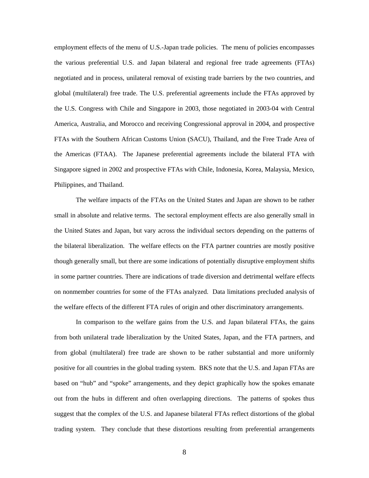employment effects of the menu of U.S.-Japan trade policies. The menu of policies encompasses the various preferential U.S. and Japan bilateral and regional free trade agreements (FTAs) negotiated and in process, unilateral removal of existing trade barriers by the two countries, and global (multilateral) free trade. The U.S. preferential agreements include the FTAs approved by the U.S. Congress with Chile and Singapore in 2003, those negotiated in 2003-04 with Central America, Australia, and Morocco and receiving Congressional approval in 2004, and prospective FTAs with the Southern African Customs Union (SACU), Thailand, and the Free Trade Area of the Americas (FTAA). The Japanese preferential agreements include the bilateral FTA with Singapore signed in 2002 and prospective FTAs with Chile, Indonesia, Korea, Malaysia, Mexico, Philippines, and Thailand.

The welfare impacts of the FTAs on the United States and Japan are shown to be rather small in absolute and relative terms. The sectoral employment effects are also generally small in the United States and Japan, but vary across the individual sectors depending on the patterns of the bilateral liberalization. The welfare effects on the FTA partner countries are mostly positive though generally small, but there are some indications of potentially disruptive employment shifts in some partner countries. There are indications of trade diversion and detrimental welfare effects on nonmember countries for some of the FTAs analyzed. Data limitations precluded analysis of the welfare effects of the different FTA rules of origin and other discriminatory arrangements.

In comparison to the welfare gains from the U.S. and Japan bilateral FTAs, the gains from both unilateral trade liberalization by the United States, Japan, and the FTA partners, and from global (multilateral) free trade are shown to be rather substantial and more uniformly positive for all countries in the global trading system. BKS note that the U.S. and Japan FTAs are based on "hub" and "spoke" arrangements, and they depict graphically how the spokes emanate out from the hubs in different and often overlapping directions. The patterns of spokes thus suggest that the complex of the U.S. and Japanese bilateral FTAs reflect distortions of the global trading system. They conclude that these distortions resulting from preferential arrangements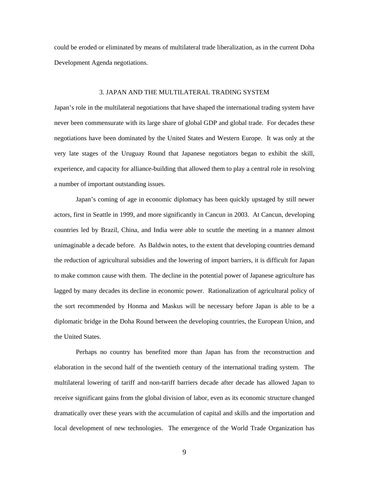could be eroded or eliminated by means of multilateral trade liberalization, as in the current Doha Development Agenda negotiations.

#### 3. JAPAN AND THE MULTILATERAL TRADING SYSTEM

Japan's role in the multilateral negotiations that have shaped the international trading system have never been commensurate with its large share of global GDP and global trade. For decades these negotiations have been dominated by the United States and Western Europe. It was only at the very late stages of the Uruguay Round that Japanese negotiators began to exhibit the skill, experience, and capacity for alliance-building that allowed them to play a central role in resolving a number of important outstanding issues.

Japan's coming of age in economic diplomacy has been quickly upstaged by still newer actors, first in Seattle in 1999, and more significantly in Cancun in 2003. At Cancun, developing countries led by Brazil, China, and India were able to scuttle the meeting in a manner almost unimaginable a decade before. As Baldwin notes, to the extent that developing countries demand the reduction of agricultural subsidies and the lowering of import barriers, it is difficult for Japan to make common cause with them. The decline in the potential power of Japanese agriculture has lagged by many decades its decline in economic power. Rationalization of agricultural policy of the sort recommended by Honma and Maskus will be necessary before Japan is able to be a diplomatic bridge in the Doha Round between the developing countries, the European Union, and the United States.

Perhaps no country has benefited more than Japan has from the reconstruction and elaboration in the second half of the twentieth century of the international trading system. The multilateral lowering of tariff and non-tariff barriers decade after decade has allowed Japan to receive significant gains from the global division of labor, even as its economic structure changed dramatically over these years with the accumulation of capital and skills and the importation and local development of new technologies. The emergence of the World Trade Organization has